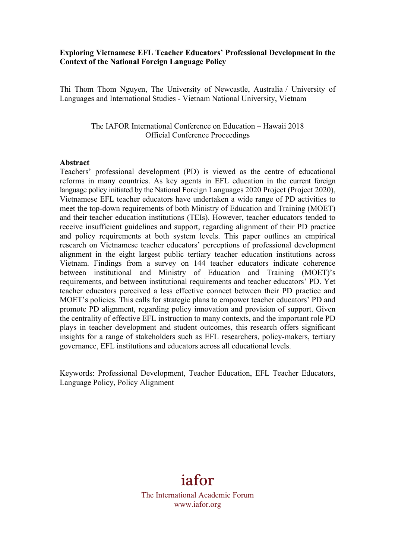### **Exploring Vietnamese EFL Teacher Educators' Professional Development in the Context of the National Foreign Language Policy**

Thi Thom Thom Nguyen, The University of Newcastle, Australia / University of Languages and International Studies - Vietnam National University, Vietnam

> The IAFOR International Conference on Education – Hawaii 2018 Official Conference Proceedings

#### **Abstract**

Teachers' professional development (PD) is viewed as the centre of educational reforms in many countries. As key agents in EFL education in the current foreign language policy initiated by the National Foreign Languages 2020 Project (Project 2020), Vietnamese EFL teacher educators have undertaken a wide range of PD activities to meet the top-down requirements of both Ministry of Education and Training (MOET) and their teacher education institutions (TEIs). However, teacher educators tended to receive insufficient guidelines and support, regarding alignment of their PD practice and policy requirements at both system levels. This paper outlines an empirical research on Vietnamese teacher educators' perceptions of professional development alignment in the eight largest public tertiary teacher education institutions across Vietnam. Findings from a survey on 144 teacher educators indicate coherence between institutional and Ministry of Education and Training (MOET)'s requirements, and between institutional requirements and teacher educators' PD. Yet teacher educators perceived a less effective connect between their PD practice and MOET's policies. This calls for strategic plans to empower teacher educators' PD and promote PD alignment, regarding policy innovation and provision of support. Given the centrality of effective EFL instruction to many contexts, and the important role PD plays in teacher development and student outcomes, this research offers significant insights for a range of stakeholders such as EFL researchers, policy-makers, tertiary governance, EFL institutions and educators across all educational levels.

Keywords: Professional Development, Teacher Education, EFL Teacher Educators, Language Policy, Policy Alignment

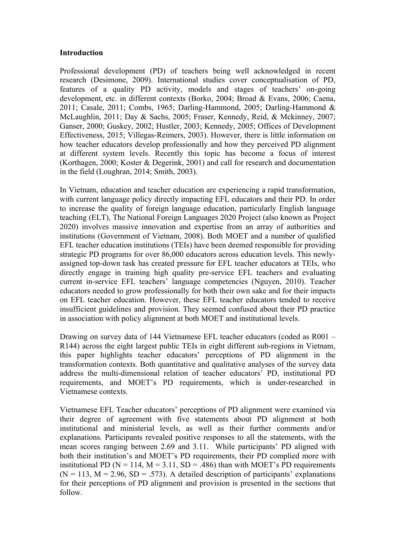### **Introduction**

Professional development (PD) of teachers being well acknowledged in recent research (Desimone, 2009). International studies cover conceptualisation of PD, features of a quality PD activity, models and stages of teachers' on-going development, etc. in different contexts (Borko, 2004; Broad & Evans, 2006; Caena, 2011; Casale, 2011; Combs, 1965; Darling-Hammond, 2005; Darling-Hammond & McLaughlin, 2011; Day & Sachs, 2005; Fraser, Kennedy, Reid, & Mckinney, 2007; Ganser, 2000; Guskey, 2002; Hustler, 2003; Kennedy, 2005; Offices of Development Effectiveness, 2015; Villegas-Reimers, 2003). However, there is little information on how teacher educators develop professionally and how they perceived PD alignment at different system levels. Recently this topic has become a focus of interest (Korthagen, 2000; Koster & Degerink, 2001) and call for research and documentation in the field (Loughran, 2014; Smith, 2003).

In Vietnam, education and teacher education are experiencing a rapid transformation, with current language policy directly impacting EFL educators and their PD. In order to increase the quality of foreign language education, particularly English language teaching (ELT), The National Foreign Languages 2020 Project (also known as Project 2020) involves massive innovation and expertise from an array of authorities and institutions (Government of Vietnam, 2008). Both MOET and a number of qualified EFL teacher education institutions (TEIs) have been deemed responsible for providing strategic PD programs for over 86,000 educators across education levels. This newlyassigned top-down task has created pressure for EFL teacher educators at TEIs, who directly engage in training high quality pre-service EFL teachers and evaluating current in-service EFL teachers' language competencies (Nguyen, 2010). Teacher educators needed to grow professionally for both their own sake and for their impacts on EFL teacher education. However, these EFL teacher educators tended to receive insufficient guidelines and provision. They seemed confused about their PD practice in association with policy alignment at both MOET and institutional levels.

Drawing on survey data of 144 Vietnamese EFL teacher educators (coded as R001 – R144) across the eight largest public TEIs in eight different sub-regions in Vietnam, this paper highlights teacher educators' perceptions of PD alignment in the transformation contexts. Both quantitative and qualitative analyses of the survey data address the multi-dimensional relation of teacher educators' PD, institutional PD requirements, and MOET's PD requirements, which is under-researched in Vietnamese contexts.

Vietnamese EFL Teacher educators' perceptions of PD alignment were examined via their degree of agreement with five statements about PD alignment at both institutional and ministerial levels, as well as their further comments and/or explanations. Participants revealed positive responses to all the statements, with the mean scores ranging between 2.69 and 3.11. While participants' PD aligned with both their institution's and MOET's PD requirements, their PD complied more with institutional PD ( $N = 114$ ,  $M = 3.11$ ,  $SD = .486$ ) than with MOET's PD requirements  $(N = 113, M = 2.96, SD = .573)$ . A detailed description of participants' explanations for their perceptions of PD alignment and provision is presented in the sections that follow.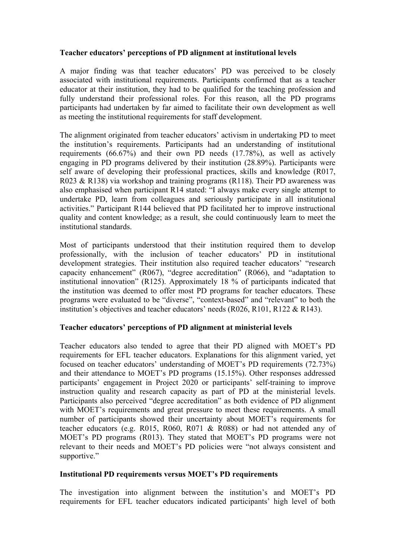# **Teacher educators' perceptions of PD alignment at institutional levels**

A major finding was that teacher educators' PD was perceived to be closely associated with institutional requirements. Participants confirmed that as a teacher educator at their institution, they had to be qualified for the teaching profession and fully understand their professional roles. For this reason, all the PD programs participants had undertaken by far aimed to facilitate their own development as well as meeting the institutional requirements for staff development.

The alignment originated from teacher educators' activism in undertaking PD to meet the institution's requirements. Participants had an understanding of institutional requirements (66.67%) and their own PD needs (17.78%), as well as actively engaging in PD programs delivered by their institution (28.89%). Participants were self aware of developing their professional practices, skills and knowledge (R017, R023 & R138) via workshop and training programs (R118). Their PD awareness was also emphasised when participant R14 stated: "I always make every single attempt to undertake PD, learn from colleagues and seriously participate in all institutional activities." Participant R144 believed that PD facilitated her to improve instructional quality and content knowledge; as a result, she could continuously learn to meet the institutional standards.

Most of participants understood that their institution required them to develop professionally, with the inclusion of teacher educators' PD in institutional development strategies. Their institution also required teacher educators' "research capacity enhancement" (R067), "degree accreditation" (R066), and "adaptation to institutional innovation" (R125). Approximately 18 % of participants indicated that the institution was deemed to offer most PD programs for teacher educators. These programs were evaluated to be "diverse", "context-based" and "relevant" to both the institution's objectives and teacher educators' needs (R026, R101, R122 & R143).

# **Teacher educators' perceptions of PD alignment at ministerial levels**

Teacher educators also tended to agree that their PD aligned with MOET's PD requirements for EFL teacher educators. Explanations for this alignment varied, yet focused on teacher educators' understanding of MOET's PD requirements (72.73%) and their attendance to MOET's PD programs (15.15%). Other responses addressed participants' engagement in Project 2020 or participants' self-training to improve instruction quality and research capacity as part of PD at the ministerial levels. Participants also perceived "degree accreditation" as both evidence of PD alignment with MOET's requirements and great pressure to meet these requirements. A small number of participants showed their uncertainty about MOET's requirements for teacher educators (e.g. R015, R060, R071 & R088) or had not attended any of MOET's PD programs (R013). They stated that MOET's PD programs were not relevant to their needs and MOET's PD policies were "not always consistent and supportive."

### **Institutional PD requirements versus MOET's PD requirements**

The investigation into alignment between the institution's and MOET's PD requirements for EFL teacher educators indicated participants' high level of both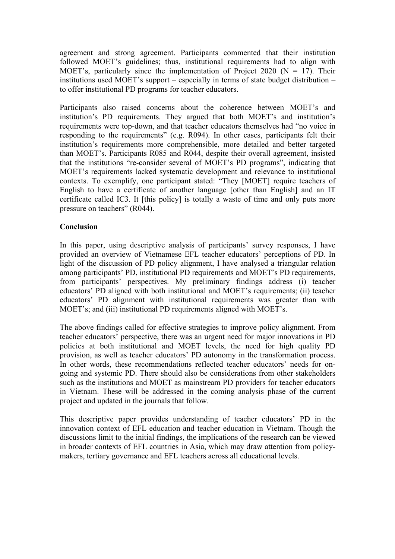agreement and strong agreement. Participants commented that their institution followed MOET's guidelines; thus, institutional requirements had to align with MOET's, particularly since the implementation of Project 2020 ( $N = 17$ ). Their institutions used MOET's support – especially in terms of state budget distribution – to offer institutional PD programs for teacher educators.

Participants also raised concerns about the coherence between MOET's and institution's PD requirements. They argued that both MOET's and institution's requirements were top-down, and that teacher educators themselves had "no voice in responding to the requirements" (e.g. R094). In other cases, participants felt their institution's requirements more comprehensible, more detailed and better targeted than MOET's. Participants R085 and R044, despite their overall agreement, insisted that the institutions "re-consider several of MOET's PD programs", indicating that MOET's requirements lacked systematic development and relevance to institutional contexts. To exemplify, one participant stated: "They [MOET] require teachers of English to have a certificate of another language [other than English] and an IT certificate called IC3. It [this policy] is totally a waste of time and only puts more pressure on teachers" (R044).

## **Conclusion**

In this paper, using descriptive analysis of participants' survey responses, I have provided an overview of Vietnamese EFL teacher educators' perceptions of PD. In light of the discussion of PD policy alignment, I have analysed a triangular relation among participants' PD, institutional PD requirements and MOET's PD requirements, from participants' perspectives. My preliminary findings address (i) teacher educators' PD aligned with both institutional and MOET's requirements; (ii) teacher educators' PD alignment with institutional requirements was greater than with MOET's; and (iii) institutional PD requirements aligned with MOET's.

The above findings called for effective strategies to improve policy alignment. From teacher educators' perspective, there was an urgent need for major innovations in PD policies at both institutional and MOET levels, the need for high quality PD provision, as well as teacher educators' PD autonomy in the transformation process. In other words, these recommendations reflected teacher educators' needs for ongoing and systemic PD. There should also be considerations from other stakeholders such as the institutions and MOET as mainstream PD providers for teacher educators in Vietnam. These will be addressed in the coming analysis phase of the current project and updated in the journals that follow.

This descriptive paper provides understanding of teacher educators' PD in the innovation context of EFL education and teacher education in Vietnam. Though the discussions limit to the initial findings, the implications of the research can be viewed in broader contexts of EFL countries in Asia, which may draw attention from policymakers, tertiary governance and EFL teachers across all educational levels.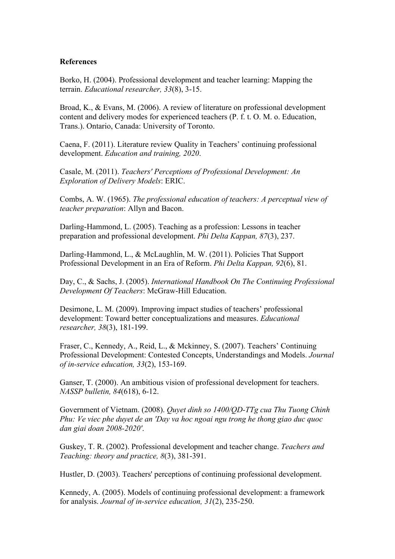#### **References**

Borko, H. (2004). Professional development and teacher learning: Mapping the terrain. *Educational researcher, 33*(8), 3-15.

Broad, K., & Evans, M. (2006). A review of literature on professional development content and delivery modes for experienced teachers (P. f. t. O. M. o. Education, Trans.). Ontario, Canada: University of Toronto.

Caena, F. (2011). Literature review Quality in Teachers' continuing professional development. *Education and training, 2020*.

Casale, M. (2011). *Teachers' Perceptions of Professional Development: An Exploration of Delivery Models*: ERIC.

Combs, A. W. (1965). *The professional education of teachers: A perceptual view of teacher preparation*: Allyn and Bacon.

Darling-Hammond, L. (2005). Teaching as a profession: Lessons in teacher preparation and professional development. *Phi Delta Kappan, 87*(3), 237.

Darling-Hammond, L., & McLaughlin, M. W. (2011). Policies That Support Professional Development in an Era of Reform. *Phi Delta Kappan, 92*(6), 81.

Day, C., & Sachs, J. (2005). *International Handbook On The Continuing Professional Development Of Teachers*: McGraw-Hill Education.

Desimone, L. M. (2009). Improving impact studies of teachers' professional development: Toward better conceptualizations and measures. *Educational researcher, 38*(3), 181-199.

Fraser, C., Kennedy, A., Reid, L., & Mckinney, S. (2007). Teachers' Continuing Professional Development: Contested Concepts, Understandings and Models. *Journal of in-service education, 33*(2), 153-169.

Ganser, T. (2000). An ambitious vision of professional development for teachers. *NASSP bulletin, 84*(618), 6-12.

Government of Vietnam. (2008). *Quyet dinh so 1400/QD-TTg cua Thu Tuong Chinh Phu: Ve viec phe duyet de an 'Day va hoc ngoai ngu trong he thong giao duc quoc dan giai doan 2008-2020'*.

Guskey, T. R. (2002). Professional development and teacher change. *Teachers and Teaching: theory and practice, 8*(3), 381-391.

Hustler, D. (2003). Teachers' perceptions of continuing professional development.

Kennedy, A. (2005). Models of continuing professional development: a framework for analysis. *Journal of in-service education, 31*(2), 235-250.